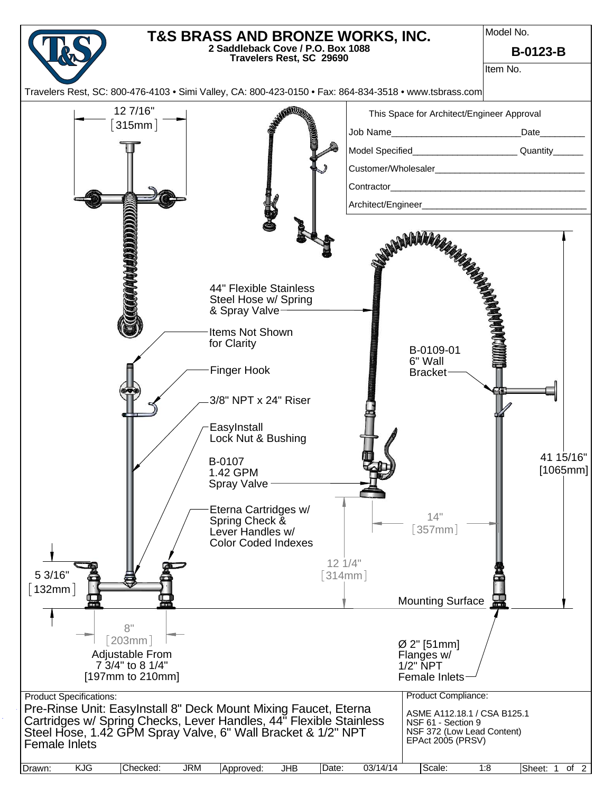